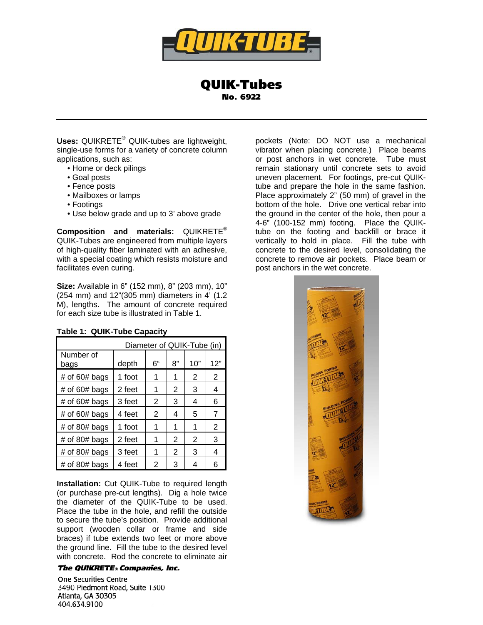

QUIK-Tubes No. 6922

Uses: QUIKRETE<sup>®</sup> QUIK-tubes are lightweight, single-use forms for a variety of concrete column applications, such as:

- Home or deck pilings
- Goal posts
- Fence posts
- Mailboxes or lamps
- Footings
- Use below grade and up to 3' above grade

**Composition and materials:** QUIKRETE® QUIK-Tubes are engineered from multiple layers of high-quality fiber laminated with an adhesive, with a special coating which resists moisture and facilitates even curing.

**Size:** Available in 6" (152 mm), 8" (203 mm), 10" (254 mm) and 12"(305 mm) diameters in 4' (1.2 M), lengths. The amount of concrete required for each size tube is illustrated in Table 1.

| Diameter of QUIK-Tube (in) |        |    |    |     |                |
|----------------------------|--------|----|----|-----|----------------|
| Number of<br>bags          | depth  | 6" | 8" | 10" | 12"            |
| # of $60#$ bags            | 1 foot |    | 1  | 2   | 2              |
| # of $60#$ bags            | 2 feet |    | 2  | 3   | 4              |
| # of $60#$ bags            | 3 feet | 2  | 3  | 4   | 6              |
| # of $60#$ bags            | 4 feet | 2  | 4  | 5   | 7              |
| # of 80# bags              | 1 foot |    | 1  | 1   | $\overline{2}$ |
| # of 80# bags              | 2 feet |    | 2  | 2   | 3              |
| # of 80# bags              | 3 feet |    | 2  | 3   | 4              |
| $#$ of 80 $#$ bags         | 4 feet | 2  | 3  |     | 6              |

**Table 1: QUIK-Tube Capacity** 

**Installation:** Cut QUIK-Tube to required length (or purchase pre-cut lengths). Dig a hole twice the diameter of the QUIK-Tube to be used. Place the tube in the hole, and refill the outside to secure the tube's position. Provide additional support (wooden collar or frame and side braces) if tube extends two feet or more above the ground line. Fill the tube to the desired level with concrete. Rod the concrete to eliminate air

## **The QUIKRETE® Companies, Inc.**

**One Securities Centre** 3490 Piedmont Road, Suite 1300 Atlanta, GA 30305 404.634.9100

pockets (Note: DO NOT use a mechanical vibrator when placing concrete.) Place beams or post anchors in wet concrete. Tube must remain stationary until concrete sets to avoid uneven placement. For footings, pre-cut QUIKtube and prepare the hole in the same fashion. Place approximately 2" (50 mm) of gravel in the bottom of the hole. Drive one vertical rebar into the ground in the center of the hole, then pour a 4-6" (100-152 mm) footing. Place the QUIKtube on the footing and backfill or brace it vertically to hold in place. Fill the tube with concrete to the desired level, consolidating the concrete to remove air pockets. Place beam or post anchors in the wet concrete.